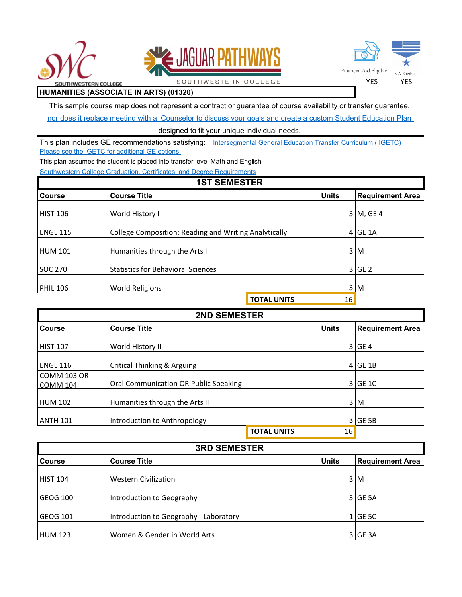





**HUMANITIES (ASSOCIATE IN ARTS) (01320)**

This sample course map does not represent a contract or guarantee of course availability or transfer guarantee,

SOUTHWESTERN COLLEGE

[nor does it replace meeting with a Counselor to discuss your goals and create a custom Student Education Plan](https://www.swccd.edu/student-support/counseling-and-career-advisement/index.aspx) 

## designed to fit your unique individual needs.

This plan includes GE recommendations satisfying: Intersegmental General Education Transfer Curriculum ( IGETC) [Please see the IGETC for additional GE options.](http://catalog.swccd.edu/california-state-university-general-education-breadth-requirements/)

This plan assumes the student is placed into transfer level Math and English

[Southwestern College Graduation, Certificates, and Degree Requirements](http://catalog.swccd.edu/certificates-certifications-degrees-csuuc-requirements/)

## **1ST SEMESTER**

| IVI VEMEVIEIV   |                                                       |                    |              |                         |  |
|-----------------|-------------------------------------------------------|--------------------|--------------|-------------------------|--|
| <b>Course</b>   | <b>Course Title</b>                                   |                    | <b>Units</b> | <b>Requirement Area</b> |  |
|                 |                                                       |                    |              |                         |  |
| <b>HIST 106</b> |                                                       | World History I    |              | $3 M$ , GE 4            |  |
| <b>ENGL 115</b> | College Composition: Reading and Writing Analytically |                    |              | $4$ GE 1A               |  |
| <b>HUM 101</b>  | Humanities through the Arts I                         |                    |              | 3 M                     |  |
| SOC 270         | <b>Statistics for Behavioral Sciences</b>             |                    |              | 3 GE2                   |  |
| <b>PHIL 106</b> | <b>World Religions</b>                                |                    |              | 3 M                     |  |
|                 |                                                       | <b>TOTAL UNITS</b> | 16           |                         |  |

| <b>2ND SEMESTER</b>                   |                                       |                    |                |                         |
|---------------------------------------|---------------------------------------|--------------------|----------------|-------------------------|
| <b>Course</b>                         | <b>Course Title</b>                   |                    | <b>Units</b>   | <b>Requirement Area</b> |
| <b>HIST 107</b>                       | World History II                      |                    |                | 3 GE4                   |
| <b>ENGL 116</b>                       | Critical Thinking & Arguing           |                    |                | $4$ GE 1B               |
| <b>COMM 103 OR</b><br><b>COMM 104</b> | Oral Communication OR Public Speaking |                    |                | $3$ GE 1C               |
| <b>HUM 102</b>                        | Humanities through the Arts II        |                    |                | 3 M                     |
| <b>ANTH 101</b>                       | Introduction to Anthropology          |                    | $\overline{3}$ | GE <sub>5B</sub>        |
|                                       |                                       | <b>TOTAL UNITS</b> | 16             |                         |

| <b>3RD SEMESTER</b> |                                        |              |                         |  |
|---------------------|----------------------------------------|--------------|-------------------------|--|
| <b>Course</b>       | <b>Course Title</b>                    | <b>Units</b> | <b>Requirement Area</b> |  |
| <b>HIST 104</b>     | Western Civilization I                 |              | 3 M                     |  |
| GEOG 100            | Introduction to Geography              |              | 3 GE 5A                 |  |
| GEOG 101            | Introduction to Geography - Laboratory |              | $1$ GE 5C               |  |
| <b>HUM 123</b>      | Women & Gender in World Arts           |              | 3 GE 3A                 |  |